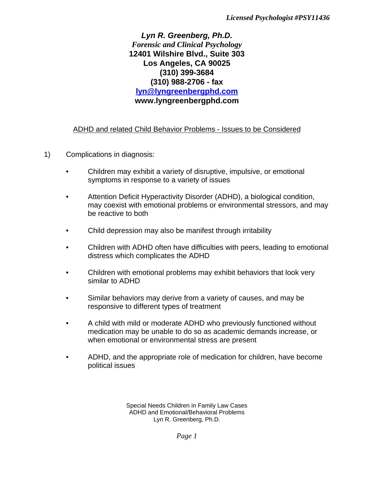*Lyn R. Greenberg, Ph.D. Forensic and Clinical Psychology* **12401 Wilshire Blvd., Suite 303 Los Angeles, CA 90025 (310) 399-3684 (310) 988-2706 - fax lyn@lyngreenbergphd.com www.lyngreenbergphd.com**

## ADHD and related Child Behavior Problems - Issues to be Considered

- 1) Complications in diagnosis:
	- Children may exhibit a variety of disruptive, impulsive, or emotional symptoms in response to a variety of issues
	- Attention Deficit Hyperactivity Disorder (ADHD), a biological condition, may coexist with emotional problems or environmental stressors, and may be reactive to both
	- Child depression may also be manifest through irritability
	- Children with ADHD often have difficulties with peers, leading to emotional distress which complicates the ADHD
	- Children with emotional problems may exhibit behaviors that look very similar to ADHD
	- Similar behaviors may derive from a variety of causes, and may be responsive to different types of treatment
	- A child with mild or moderate ADHD who previously functioned without medication may be unable to do so as academic demands increase, or when emotional or environmental stress are present
	- ADHD, and the appropriate role of medication for children, have become political issues

Special Needs Children in Family Law Cases ADHD and Emotional/Behavioral Problems Lyn R. Greenberg, Ph.D.

*Page 1*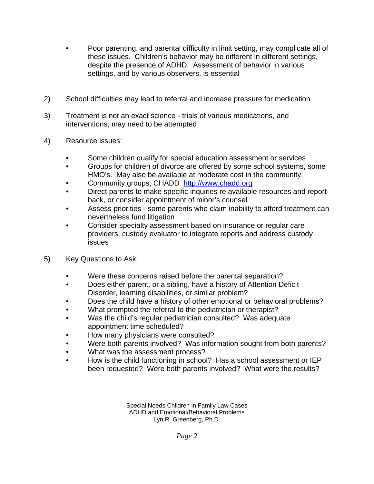- Poor parenting, and parental difficulty in limit setting, may complicate all of these issues. Children's behavior may be different in different settings, despite the presence of ADHD. Assessment of behavior in various settings, and by various observers, is essential
- 2) School difficulties may lead to referral and increase pressure for medication
- 3) Treatment is not an exact science trials of various medications, and interventions, may need to be attempted
- 4) Resource issues:
	- Some children qualify for special education assessment or services
	- Groups for children of divorce are offered by some school systems, some HMO's. May also be available at moderate cost in the community.
	- Community groups, CHADD http://www.chadd.org
	- Direct parents to make specific inquiries re available resources and report back, or consider appointment of minor's counsel
	- Assess priorities some parents who claim inability to afford treatment can nevertheless fund litigation
	- Consider specialty assessment based on insurance or regular care providers, custody evaluator to integrate reports and address custody issues
- 5) Key Questions to Ask:
	- Were these concerns raised before the parental separation?
	- Does either parent, or a sibling, have a history of Attention Deficit Disorder, learning disabilities, or similar problem?
	- Does the child have a history of other emotional or behavioral problems?
	- What prompted the referral to the pediatrician or therapist?
	- Was the child's regular pediatrician consulted? Was adequate appointment time scheduled?
	- How many physicians were consulted?
	- Were both parents involved? Was information sought from both parents?
	- What was the assessment process?
	- How is the child functioning in school? Has a school assessment or IEP been requested? Were both parents involved? What were the results?

Special Needs Children in Family Law Cases ADHD and Emotional/Behavioral Problems Lyn R. Greenberg, Ph.D.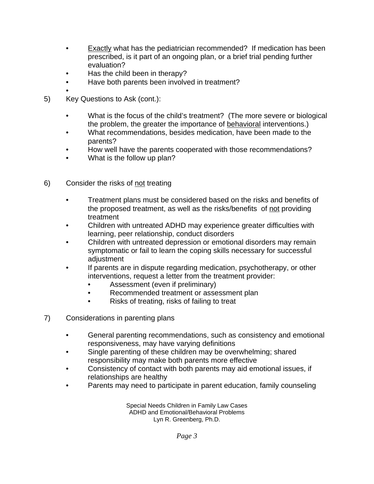- **Exactly what has the pediatrician recommended?** If medication has been prescribed, is it part of an ongoing plan, or a brief trial pending further evaluation?
- Has the child been in therapy?
- Have both parents been involved in treatment?
- 5) Key Questions to Ask (cont.):
	- What is the focus of the child's treatment? (The more severe or biological the problem, the greater the importance of behavioral interventions.)
	- What recommendations, besides medication, have been made to the parents?
	- How well have the parents cooperated with those recommendations?
	- What is the follow up plan?
- 6) Consider the risks of not treating
	- Treatment plans must be considered based on the risks and benefits of the proposed treatment, as well as the risks/benefits of not providing treatment
	- Children with untreated ADHD may experience greater difficulties with learning, peer relationship, conduct disorders
	- Children with untreated depression or emotional disorders may remain symptomatic or fail to learn the coping skills necessary for successful adjustment
	- If parents are in dispute regarding medication, psychotherapy, or other interventions, request a letter from the treatment provider:
		- Assessment (even if preliminary)
		- Recommended treatment or assessment plan
		- Risks of treating, risks of failing to treat
- 7) Considerations in parenting plans
	- General parenting recommendations, such as consistency and emotional responsiveness, may have varying definitions
	- Single parenting of these children may be overwhelming; shared responsibility may make both parents more effective
	- Consistency of contact with both parents may aid emotional issues, if relationships are healthy
	- Parents may need to participate in parent education, family counseling

Special Needs Children in Family Law Cases ADHD and Emotional/Behavioral Problems Lyn R. Greenberg, Ph.D.